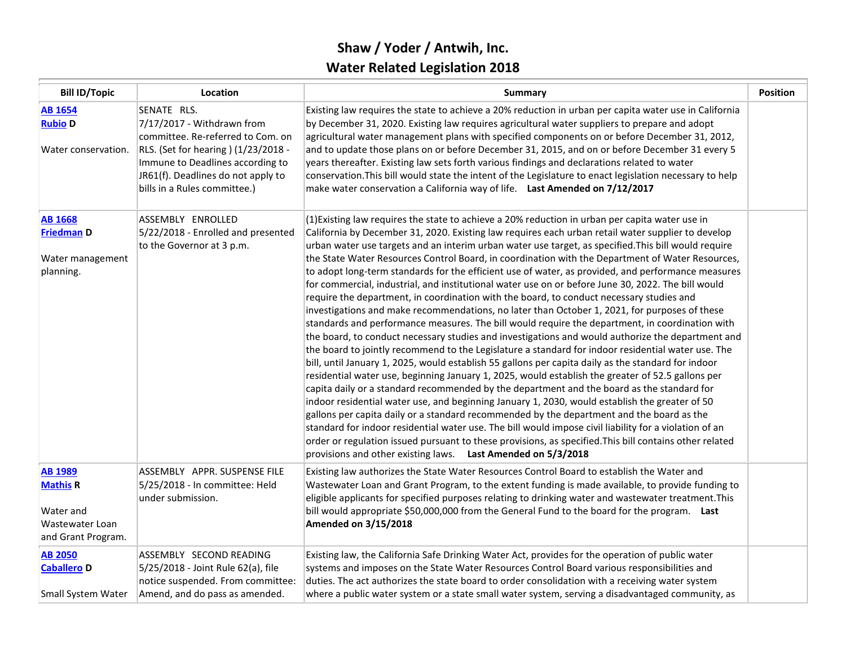## **Shaw / Yoder / Antwih, Inc. Water Related Legislation 2018**

| <b>Bill ID/Topic</b>                                                                    | Location                                                                                                                                                                                                                        | Summary                                                                                                                                                                                                                                                                                                                                                                                                                                                                                                                                                                                                                                                                                                                                                                                                                                                                                                                                                                                                                                                                                                                                                                                                                                                                                                                                                                                                                                                                                                                                                                                                                                                                                                                                                                                                                                                                                                                                | <b>Position</b> |
|-----------------------------------------------------------------------------------------|---------------------------------------------------------------------------------------------------------------------------------------------------------------------------------------------------------------------------------|----------------------------------------------------------------------------------------------------------------------------------------------------------------------------------------------------------------------------------------------------------------------------------------------------------------------------------------------------------------------------------------------------------------------------------------------------------------------------------------------------------------------------------------------------------------------------------------------------------------------------------------------------------------------------------------------------------------------------------------------------------------------------------------------------------------------------------------------------------------------------------------------------------------------------------------------------------------------------------------------------------------------------------------------------------------------------------------------------------------------------------------------------------------------------------------------------------------------------------------------------------------------------------------------------------------------------------------------------------------------------------------------------------------------------------------------------------------------------------------------------------------------------------------------------------------------------------------------------------------------------------------------------------------------------------------------------------------------------------------------------------------------------------------------------------------------------------------------------------------------------------------------------------------------------------------|-----------------|
| <b>AB 1654</b><br><b>Rubio D</b><br>Water conservation.                                 | SENATE RLS.<br>7/17/2017 - Withdrawn from<br>committee. Re-referred to Com. on<br>RLS. (Set for hearing) (1/23/2018 -<br>Immune to Deadlines according to<br>JR61(f). Deadlines do not apply to<br>bills in a Rules committee.) | Existing law requires the state to achieve a 20% reduction in urban per capita water use in California<br>by December 31, 2020. Existing law requires agricultural water suppliers to prepare and adopt<br>agricultural water management plans with specified components on or before December 31, 2012,<br>and to update those plans on or before December 31, 2015, and on or before December 31 every 5<br>years thereafter. Existing law sets forth various findings and declarations related to water<br>conservation. This bill would state the intent of the Legislature to enact legislation necessary to help<br>make water conservation a California way of life. Last Amended on 7/12/2017                                                                                                                                                                                                                                                                                                                                                                                                                                                                                                                                                                                                                                                                                                                                                                                                                                                                                                                                                                                                                                                                                                                                                                                                                                  |                 |
| <b>AB 1668</b><br><b>Friedman D</b><br>Water management<br>planning.                    | ASSEMBLY ENROLLED<br>5/22/2018 - Enrolled and presented<br>to the Governor at 3 p.m.                                                                                                                                            | (1) Existing law requires the state to achieve a 20% reduction in urban per capita water use in<br>California by December 31, 2020. Existing law requires each urban retail water supplier to develop<br>urban water use targets and an interim urban water use target, as specified. This bill would require<br>the State Water Resources Control Board, in coordination with the Department of Water Resources,<br>to adopt long-term standards for the efficient use of water, as provided, and performance measures<br>for commercial, industrial, and institutional water use on or before June 30, 2022. The bill would<br>require the department, in coordination with the board, to conduct necessary studies and<br>investigations and make recommendations, no later than October 1, 2021, for purposes of these<br>standards and performance measures. The bill would require the department, in coordination with<br>the board, to conduct necessary studies and investigations and would authorize the department and<br>the board to jointly recommend to the Legislature a standard for indoor residential water use. The<br>bill, until January 1, 2025, would establish 55 gallons per capita daily as the standard for indoor<br>residential water use, beginning January 1, 2025, would establish the greater of 52.5 gallons per<br>capita daily or a standard recommended by the department and the board as the standard for<br>indoor residential water use, and beginning January 1, 2030, would establish the greater of 50<br>gallons per capita daily or a standard recommended by the department and the board as the<br>standard for indoor residential water use. The bill would impose civil liability for a violation of an<br>order or regulation issued pursuant to these provisions, as specified. This bill contains other related<br>provisions and other existing laws. Last Amended on 5/3/2018 |                 |
| <b>AB 1989</b><br><b>Mathis R</b><br>Water and<br>Wastewater Loan<br>and Grant Program. | ASSEMBLY APPR. SUSPENSE FILE<br>5/25/2018 - In committee: Held<br>under submission.                                                                                                                                             | Existing law authorizes the State Water Resources Control Board to establish the Water and<br>Wastewater Loan and Grant Program, to the extent funding is made available, to provide funding to<br>eligible applicants for specified purposes relating to drinking water and wastewater treatment. This<br>bill would appropriate \$50,000,000 from the General Fund to the board for the program. Last<br><b>Amended on 3/15/2018</b>                                                                                                                                                                                                                                                                                                                                                                                                                                                                                                                                                                                                                                                                                                                                                                                                                                                                                                                                                                                                                                                                                                                                                                                                                                                                                                                                                                                                                                                                                                 |                 |
| <b>AB 2050</b><br><b>Caballero D</b><br>Small System Water                              | ASSEMBLY SECOND READING<br>5/25/2018 - Joint Rule 62(a), file<br>notice suspended. From committee:<br>Amend, and do pass as amended.                                                                                            | Existing law, the California Safe Drinking Water Act, provides for the operation of public water<br>systems and imposes on the State Water Resources Control Board various responsibilities and<br>duties. The act authorizes the state board to order consolidation with a receiving water system<br>where a public water system or a state small water system, serving a disadvantaged community, as                                                                                                                                                                                                                                                                                                                                                                                                                                                                                                                                                                                                                                                                                                                                                                                                                                                                                                                                                                                                                                                                                                                                                                                                                                                                                                                                                                                                                                                                                                                                 |                 |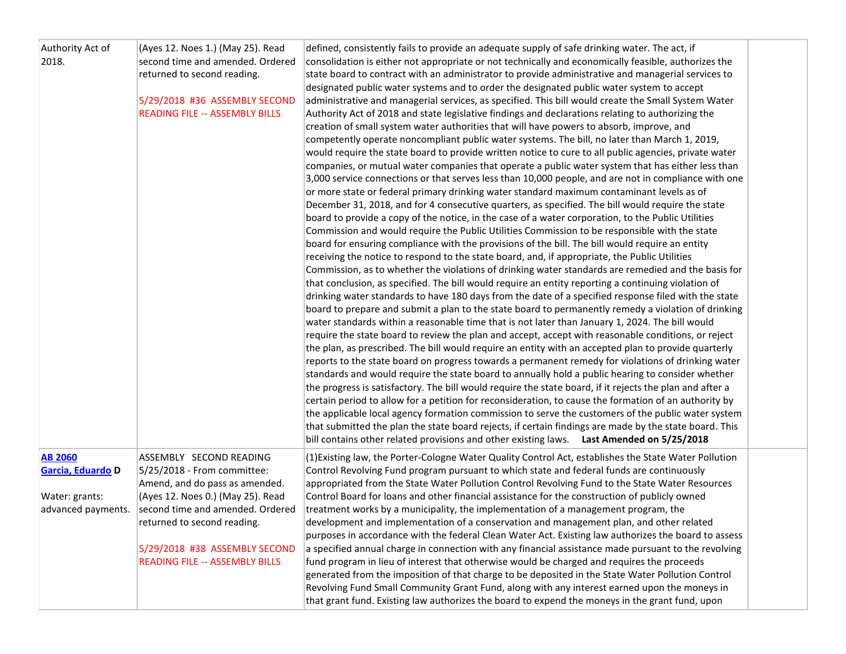| Authority Act of<br>2018.                                                   | (Ayes 12. Noes 1.) (May 25). Read<br>second time and amended. Ordered<br>returned to second reading.<br>5/29/2018 #36 ASSEMBLY SECOND<br><b>READING FILE -- ASSEMBLY BILLS</b>                                                                                             | defined, consistently fails to provide an adequate supply of safe drinking water. The act, if<br>consolidation is either not appropriate or not technically and economically feasible, authorizes the<br>state board to contract with an administrator to provide administrative and managerial services to<br>designated public water systems and to order the designated public water system to accept<br>administrative and managerial services, as specified. This bill would create the Small System Water<br>Authority Act of 2018 and state legislative findings and declarations relating to authorizing the<br>creation of small system water authorities that will have powers to absorb, improve, and<br>competently operate noncompliant public water systems. The bill, no later than March 1, 2019,<br>would require the state board to provide written notice to cure to all public agencies, private water<br>companies, or mutual water companies that operate a public water system that has either less than<br>3,000 service connections or that serves less than 10,000 people, and are not in compliance with one<br>or more state or federal primary drinking water standard maximum contaminant levels as of<br>December 31, 2018, and for 4 consecutive quarters, as specified. The bill would require the state<br>board to provide a copy of the notice, in the case of a water corporation, to the Public Utilities<br>Commission and would require the Public Utilities Commission to be responsible with the state<br>board for ensuring compliance with the provisions of the bill. The bill would require an entity<br>receiving the notice to respond to the state board, and, if appropriate, the Public Utilities<br>Commission, as to whether the violations of drinking water standards are remedied and the basis for<br>that conclusion, as specified. The bill would require an entity reporting a continuing violation of<br>drinking water standards to have 180 days from the date of a specified response filed with the state<br>board to prepare and submit a plan to the state board to permanently remedy a violation of drinking<br>water standards within a reasonable time that is not later than January 1, 2024. The bill would<br>require the state board to review the plan and accept, accept with reasonable conditions, or reject<br>the plan, as prescribed. The bill would require an entity with an accepted plan to provide quarterly<br>reports to the state board on progress towards a permanent remedy for violations of drinking water<br>standards and would require the state board to annually hold a public hearing to consider whether<br>the progress is satisfactory. The bill would require the state board, if it rejects the plan and after a<br>certain period to allow for a petition for reconsideration, to cause the formation of an authority by<br>the applicable local agency formation commission to serve the customers of the public water system<br>that submitted the plan the state board rejects, if certain findings are made by the state board. This<br>bill contains other related provisions and other existing laws. Last Amended on 5/25/2018 |  |
|-----------------------------------------------------------------------------|----------------------------------------------------------------------------------------------------------------------------------------------------------------------------------------------------------------------------------------------------------------------------|--------------------------------------------------------------------------------------------------------------------------------------------------------------------------------------------------------------------------------------------------------------------------------------------------------------------------------------------------------------------------------------------------------------------------------------------------------------------------------------------------------------------------------------------------------------------------------------------------------------------------------------------------------------------------------------------------------------------------------------------------------------------------------------------------------------------------------------------------------------------------------------------------------------------------------------------------------------------------------------------------------------------------------------------------------------------------------------------------------------------------------------------------------------------------------------------------------------------------------------------------------------------------------------------------------------------------------------------------------------------------------------------------------------------------------------------------------------------------------------------------------------------------------------------------------------------------------------------------------------------------------------------------------------------------------------------------------------------------------------------------------------------------------------------------------------------------------------------------------------------------------------------------------------------------------------------------------------------------------------------------------------------------------------------------------------------------------------------------------------------------------------------------------------------------------------------------------------------------------------------------------------------------------------------------------------------------------------------------------------------------------------------------------------------------------------------------------------------------------------------------------------------------------------------------------------------------------------------------------------------------------------------------------------------------------------------------------------------------------------------------------------------------------------------------------------------------------------------------------------------------------------------------------------------------------------------------------------------------------------------------------------------------------------------------------------------------------------------------------------------------------------------------------------------------------------------------------------------------------------------------|--|
| <b>AB 2060</b><br>Garcia, Eduardo D<br>Water: grants:<br>advanced payments. | ASSEMBLY SECOND READING<br>5/25/2018 - From committee:<br>Amend, and do pass as amended.<br>(Ayes 12. Noes 0.) (May 25). Read<br>second time and amended. Ordered<br>returned to second reading.<br>5/29/2018 #38 ASSEMBLY SECOND<br><b>READING FILE -- ASSEMBLY BILLS</b> | (1) Existing law, the Porter-Cologne Water Quality Control Act, establishes the State Water Pollution<br>Control Revolving Fund program pursuant to which state and federal funds are continuously<br>appropriated from the State Water Pollution Control Revolving Fund to the State Water Resources<br>Control Board for loans and other financial assistance for the construction of publicly owned<br>treatment works by a municipality, the implementation of a management program, the<br>development and implementation of a conservation and management plan, and other related<br>purposes in accordance with the federal Clean Water Act. Existing law authorizes the board to assess<br>a specified annual charge in connection with any financial assistance made pursuant to the revolving<br>fund program in lieu of interest that otherwise would be charged and requires the proceeds<br>generated from the imposition of that charge to be deposited in the State Water Pollution Control                                                                                                                                                                                                                                                                                                                                                                                                                                                                                                                                                                                                                                                                                                                                                                                                                                                                                                                                                                                                                                                                                                                                                                                                                                                                                                                                                                                                                                                                                                                                                                                                                                                                                                                                                                                                                                                                                                                                                                                                                                                                                                                                                                                                                                       |  |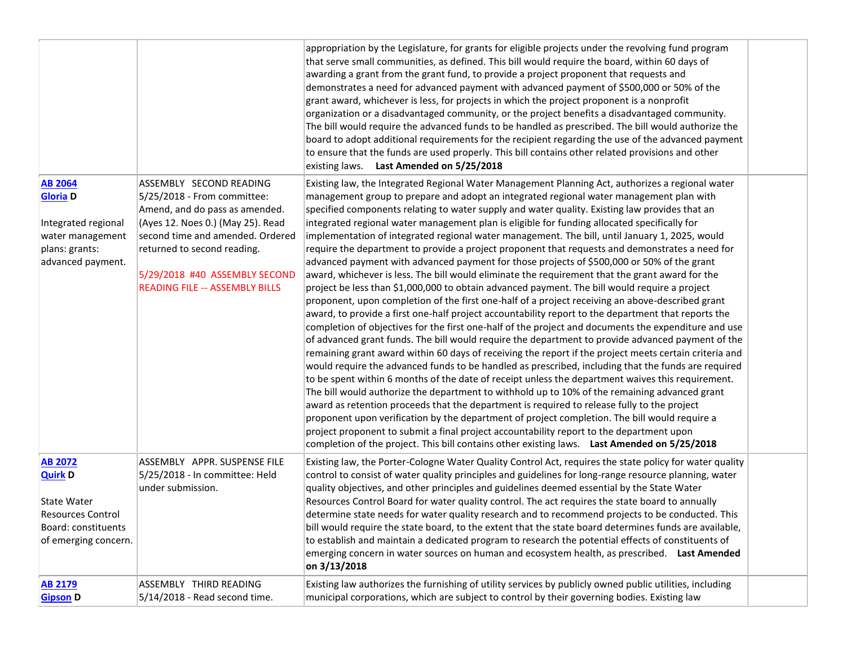|                                                                                                                            |                                                                                                                                                                                                                                                                            | appropriation by the Legislature, for grants for eligible projects under the revolving fund program<br>that serve small communities, as defined. This bill would require the board, within 60 days of<br>awarding a grant from the grant fund, to provide a project proponent that requests and<br>demonstrates a need for advanced payment with advanced payment of \$500,000 or 50% of the<br>grant award, whichever is less, for projects in which the project proponent is a nonprofit<br>organization or a disadvantaged community, or the project benefits a disadvantaged community.<br>The bill would require the advanced funds to be handled as prescribed. The bill would authorize the<br>board to adopt additional requirements for the recipient regarding the use of the advanced payment<br>to ensure that the funds are used properly. This bill contains other related provisions and other<br>existing laws. Last Amended on 5/25/2018                                                                                                                                                                                                                                                                                                                                                                                                                                                                                                                                                                                                                                                                                                                                                                                                                                                                                                                                                                                                                                                                                                                                                                                       |  |
|----------------------------------------------------------------------------------------------------------------------------|----------------------------------------------------------------------------------------------------------------------------------------------------------------------------------------------------------------------------------------------------------------------------|-------------------------------------------------------------------------------------------------------------------------------------------------------------------------------------------------------------------------------------------------------------------------------------------------------------------------------------------------------------------------------------------------------------------------------------------------------------------------------------------------------------------------------------------------------------------------------------------------------------------------------------------------------------------------------------------------------------------------------------------------------------------------------------------------------------------------------------------------------------------------------------------------------------------------------------------------------------------------------------------------------------------------------------------------------------------------------------------------------------------------------------------------------------------------------------------------------------------------------------------------------------------------------------------------------------------------------------------------------------------------------------------------------------------------------------------------------------------------------------------------------------------------------------------------------------------------------------------------------------------------------------------------------------------------------------------------------------------------------------------------------------------------------------------------------------------------------------------------------------------------------------------------------------------------------------------------------------------------------------------------------------------------------------------------------------------------------------------------------------------------------------------------|--|
| <b>AB 2064</b><br><b>Gloria D</b><br>Integrated regional<br>water management<br>plans: grants:<br>advanced payment.        | ASSEMBLY SECOND READING<br>5/25/2018 - From committee:<br>Amend, and do pass as amended.<br>(Ayes 12. Noes 0.) (May 25). Read<br>second time and amended. Ordered<br>returned to second reading.<br>5/29/2018 #40 ASSEMBLY SECOND<br><b>READING FILE -- ASSEMBLY BILLS</b> | Existing law, the Integrated Regional Water Management Planning Act, authorizes a regional water<br>management group to prepare and adopt an integrated regional water management plan with<br>specified components relating to water supply and water quality. Existing law provides that an<br>integrated regional water management plan is eligible for funding allocated specifically for<br>implementation of integrated regional water management. The bill, until January 1, 2025, would<br>require the department to provide a project proponent that requests and demonstrates a need for<br>advanced payment with advanced payment for those projects of \$500,000 or 50% of the grant<br>award, whichever is less. The bill would eliminate the requirement that the grant award for the<br>project be less than \$1,000,000 to obtain advanced payment. The bill would require a project<br>proponent, upon completion of the first one-half of a project receiving an above-described grant<br>award, to provide a first one-half project accountability report to the department that reports the<br>completion of objectives for the first one-half of the project and documents the expenditure and use<br>of advanced grant funds. The bill would require the department to provide advanced payment of the<br>remaining grant award within 60 days of receiving the report if the project meets certain criteria and<br>would require the advanced funds to be handled as prescribed, including that the funds are required<br>to be spent within 6 months of the date of receipt unless the department waives this requirement.<br>The bill would authorize the department to withhold up to 10% of the remaining advanced grant<br>award as retention proceeds that the department is required to release fully to the project<br>proponent upon verification by the department of project completion. The bill would require a<br>project proponent to submit a final project accountability report to the department upon<br>completion of the project. This bill contains other existing laws. Last Amended on 5/25/2018 |  |
| <b>AB 2072</b><br><b>Quirk D</b><br>State Water<br><b>Resources Control</b><br>Board: constituents<br>of emerging concern. | ASSEMBLY APPR. SUSPENSE FILE<br>5/25/2018 - In committee: Held<br>under submission.                                                                                                                                                                                        | Existing law, the Porter-Cologne Water Quality Control Act, requires the state policy for water quality<br>control to consist of water quality principles and guidelines for long-range resource planning, water<br>quality objectives, and other principles and guidelines deemed essential by the State Water<br>Resources Control Board for water quality control. The act requires the state board to annually<br>determine state needs for water quality research and to recommend projects to be conducted. This<br>bill would require the state board, to the extent that the state board determines funds are available,<br>to establish and maintain a dedicated program to research the potential effects of constituents of<br>emerging concern in water sources on human and ecosystem health, as prescribed. Last Amended<br>on 3/13/2018                                                                                                                                                                                                                                                                                                                                                                                                                                                                                                                                                                                                                                                                                                                                                                                                                                                                                                                                                                                                                                                                                                                                                                                                                                                                                          |  |
| <b>AB 2179</b><br><b>Gipson D</b>                                                                                          | ASSEMBLY THIRD READING<br>$5/14/2018$ - Read second time.                                                                                                                                                                                                                  | Existing law authorizes the furnishing of utility services by publicly owned public utilities, including<br>municipal corporations, which are subject to control by their governing bodies. Existing law                                                                                                                                                                                                                                                                                                                                                                                                                                                                                                                                                                                                                                                                                                                                                                                                                                                                                                                                                                                                                                                                                                                                                                                                                                                                                                                                                                                                                                                                                                                                                                                                                                                                                                                                                                                                                                                                                                                                        |  |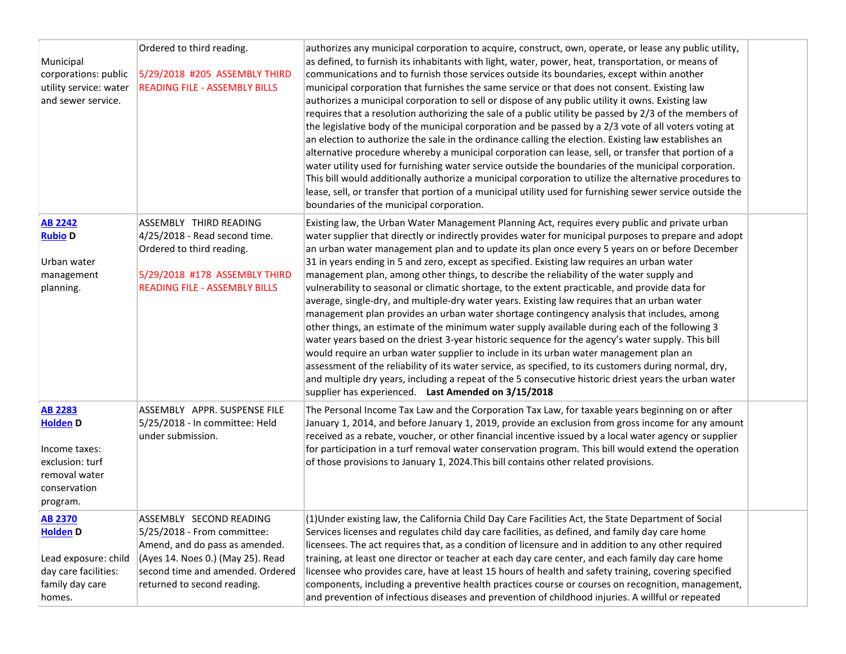| Municipal<br>corporations: public<br>utility service: water<br>and sewer service.                                  | Ordered to third reading.<br>5/29/2018 #205 ASSEMBLY THIRD<br><b>READING FILE - ASSEMBLY BILLS</b>                                                                                               | authorizes any municipal corporation to acquire, construct, own, operate, or lease any public utility,<br>as defined, to furnish its inhabitants with light, water, power, heat, transportation, or means of<br>communications and to furnish those services outside its boundaries, except within another<br>municipal corporation that furnishes the same service or that does not consent. Existing law<br>authorizes a municipal corporation to sell or dispose of any public utility it owns. Existing law<br>requires that a resolution authorizing the sale of a public utility be passed by 2/3 of the members of<br>the legislative body of the municipal corporation and be passed by a 2/3 vote of all voters voting at<br>an election to authorize the sale in the ordinance calling the election. Existing law establishes an<br>alternative procedure whereby a municipal corporation can lease, sell, or transfer that portion of a<br>water utility used for furnishing water service outside the boundaries of the municipal corporation.<br>This bill would additionally authorize a municipal corporation to utilize the alternative procedures to<br>lease, sell, or transfer that portion of a municipal utility used for furnishing sewer service outside the<br>boundaries of the municipal corporation.                                                  |  |
|--------------------------------------------------------------------------------------------------------------------|--------------------------------------------------------------------------------------------------------------------------------------------------------------------------------------------------|----------------------------------------------------------------------------------------------------------------------------------------------------------------------------------------------------------------------------------------------------------------------------------------------------------------------------------------------------------------------------------------------------------------------------------------------------------------------------------------------------------------------------------------------------------------------------------------------------------------------------------------------------------------------------------------------------------------------------------------------------------------------------------------------------------------------------------------------------------------------------------------------------------------------------------------------------------------------------------------------------------------------------------------------------------------------------------------------------------------------------------------------------------------------------------------------------------------------------------------------------------------------------------------------------------------------------------------------------------------------------------|--|
| <b>AB 2242</b><br><b>Rubio D</b><br>Urban water<br>management<br>planning.                                         | ASSEMBLY THIRD READING<br>$ 4/25/2018$ - Read second time.<br>Ordered to third reading.<br>5/29/2018 #178 ASSEMBLY THIRD<br><b>READING FILE - ASSEMBLY BILLS</b>                                 | Existing law, the Urban Water Management Planning Act, requires every public and private urban<br>water supplier that directly or indirectly provides water for municipal purposes to prepare and adopt<br>an urban water management plan and to update its plan once every 5 years on or before December<br>31 in years ending in 5 and zero, except as specified. Existing law requires an urban water<br>management plan, among other things, to describe the reliability of the water supply and<br>vulnerability to seasonal or climatic shortage, to the extent practicable, and provide data for<br>average, single-dry, and multiple-dry water years. Existing law requires that an urban water<br>management plan provides an urban water shortage contingency analysis that includes, among<br>other things, an estimate of the minimum water supply available during each of the following 3<br>water years based on the driest 3-year historic sequence for the agency's water supply. This bill<br>would require an urban water supplier to include in its urban water management plan an<br>assessment of the reliability of its water service, as specified, to its customers during normal, dry,<br>and multiple dry years, including a repeat of the 5 consecutive historic driest years the urban water<br>supplier has experienced. Last Amended on 3/15/2018 |  |
| <b>AB 2283</b><br><b>Holden</b> D<br>Income taxes:<br>exclusion: turf<br>removal water<br>conservation<br>program. | ASSEMBLY APPR. SUSPENSE FILE<br>5/25/2018 - In committee: Held<br>under submission.                                                                                                              | The Personal Income Tax Law and the Corporation Tax Law, for taxable years beginning on or after<br>January 1, 2014, and before January 1, 2019, provide an exclusion from gross income for any amount<br>received as a rebate, voucher, or other financial incentive issued by a local water agency or supplier<br>for participation in a turf removal water conservation program. This bill would extend the operation<br>of those provisions to January 1, 2024. This bill contains other related provisions.                                                                                                                                                                                                                                                                                                                                                                                                                                                                                                                                                                                                                                                                                                                                                                                                                                                                 |  |
| <b>AB 2370</b><br><b>Holden D</b><br>Lead exposure: child<br>day care facilities:<br>family day care<br>homes.     | ASSEMBLY SECOND READING<br>5/25/2018 - From committee:<br>Amend, and do pass as amended.<br>(Ayes 14. Noes 0.) (May 25). Read<br>second time and amended. Ordered<br>returned to second reading. | (1) Under existing law, the California Child Day Care Facilities Act, the State Department of Social<br>Services licenses and regulates child day care facilities, as defined, and family day care home<br>licensees. The act requires that, as a condition of licensure and in addition to any other required<br>training, at least one director or teacher at each day care center, and each family day care home<br>licensee who provides care, have at least 15 hours of health and safety training, covering specified<br>components, including a preventive health practices course or courses on recognition, management,<br>and prevention of infectious diseases and prevention of childhood injuries. A willful or repeated                                                                                                                                                                                                                                                                                                                                                                                                                                                                                                                                                                                                                                            |  |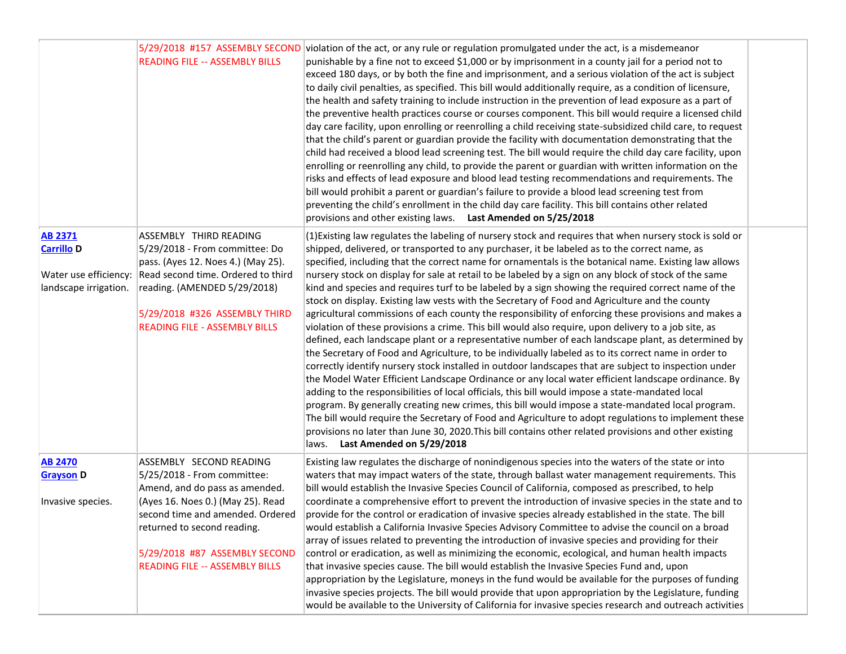|                                                                                       | 5/29/2018 #157 ASSEMBLY SECOND<br><b>READING FILE -- ASSEMBLY BILLS</b>                                                                                                                                                                       | violation of the act, or any rule or regulation promulgated under the act, is a misdemeanor<br>punishable by a fine not to exceed \$1,000 or by imprisonment in a county jail for a period not to<br>exceed 180 days, or by both the fine and imprisonment, and a serious violation of the act is subject<br>to daily civil penalties, as specified. This bill would additionally require, as a condition of licensure,<br>the health and safety training to include instruction in the prevention of lead exposure as a part of<br>the preventive health practices course or courses component. This bill would require a licensed child<br>day care facility, upon enrolling or reenrolling a child receiving state-subsidized child care, to request<br>that the child's parent or guardian provide the facility with documentation demonstrating that the<br>child had received a blood lead screening test. The bill would require the child day care facility, upon<br>enrolling or reenrolling any child, to provide the parent or guardian with written information on the<br>risks and effects of lead exposure and blood lead testing recommendations and requirements. The<br>bill would prohibit a parent or guardian's failure to provide a blood lead screening test from<br>preventing the child's enrollment in the child day care facility. This bill contains other related<br>provisions and other existing laws. Last Amended on 5/25/2018 |  |
|---------------------------------------------------------------------------------------|-----------------------------------------------------------------------------------------------------------------------------------------------------------------------------------------------------------------------------------------------|----------------------------------------------------------------------------------------------------------------------------------------------------------------------------------------------------------------------------------------------------------------------------------------------------------------------------------------------------------------------------------------------------------------------------------------------------------------------------------------------------------------------------------------------------------------------------------------------------------------------------------------------------------------------------------------------------------------------------------------------------------------------------------------------------------------------------------------------------------------------------------------------------------------------------------------------------------------------------------------------------------------------------------------------------------------------------------------------------------------------------------------------------------------------------------------------------------------------------------------------------------------------------------------------------------------------------------------------------------------------------------------------------------------------------------------------------------------|--|
| <b>AB 2371</b><br><b>Carrillo D</b><br>Water use efficiency:<br>landscape irrigation. | ASSEMBLY THIRD READING<br>5/29/2018 - From committee: Do<br>pass. (Ayes 12. Noes 4.) (May 25).<br>Read second time. Ordered to third<br>reading. (AMENDED 5/29/2018)<br>5/29/2018 #326 ASSEMBLY THIRD<br><b>READING FILE - ASSEMBLY BILLS</b> | (1) Existing law regulates the labeling of nursery stock and requires that when nursery stock is sold or<br>shipped, delivered, or transported to any purchaser, it be labeled as to the correct name, as<br>specified, including that the correct name for ornamentals is the botanical name. Existing law allows<br>nursery stock on display for sale at retail to be labeled by a sign on any block of stock of the same<br>kind and species and requires turf to be labeled by a sign showing the required correct name of the<br>stock on display. Existing law vests with the Secretary of Food and Agriculture and the county<br>agricultural commissions of each county the responsibility of enforcing these provisions and makes a<br>violation of these provisions a crime. This bill would also require, upon delivery to a job site, as<br>defined, each landscape plant or a representative number of each landscape plant, as determined by<br>the Secretary of Food and Agriculture, to be individually labeled as to its correct name in order to<br>correctly identify nursery stock installed in outdoor landscapes that are subject to inspection under<br>the Model Water Efficient Landscape Ordinance or any local water efficient landscape ordinance. By<br>adding to the responsibilities of local officials, this bill would impose a state-mandated local                                                                          |  |
|                                                                                       |                                                                                                                                                                                                                                               | program. By generally creating new crimes, this bill would impose a state-mandated local program.<br>The bill would require the Secretary of Food and Agriculture to adopt regulations to implement these<br>provisions no later than June 30, 2020. This bill contains other related provisions and other existing<br>Last Amended on 5/29/2018<br>laws.                                                                                                                                                                                                                                                                                                                                                                                                                                                                                                                                                                                                                                                                                                                                                                                                                                                                                                                                                                                                                                                                                                      |  |
| <b>AB 2470</b><br><b>Grayson D</b>                                                    | ASSEMBLY SECOND READING<br>5/25/2018 - From committee:                                                                                                                                                                                        | Existing law regulates the discharge of nonindigenous species into the waters of the state or into<br>waters that may impact waters of the state, through ballast water management requirements. This                                                                                                                                                                                                                                                                                                                                                                                                                                                                                                                                                                                                                                                                                                                                                                                                                                                                                                                                                                                                                                                                                                                                                                                                                                                          |  |
| Invasive species.                                                                     | Amend, and do pass as amended.<br>(Ayes 16. Noes 0.) (May 25). Read<br>second time and amended. Ordered<br>returned to second reading.                                                                                                        | bill would establish the Invasive Species Council of California, composed as prescribed, to help<br>coordinate a comprehensive effort to prevent the introduction of invasive species in the state and to<br>provide for the control or eradication of invasive species already established in the state. The bill<br>would establish a California Invasive Species Advisory Committee to advise the council on a broad<br>array of issues related to preventing the introduction of invasive species and providing for their                                                                                                                                                                                                                                                                                                                                                                                                                                                                                                                                                                                                                                                                                                                                                                                                                                                                                                                                  |  |
|                                                                                       | 5/29/2018 #87 ASSEMBLY SECOND<br><b>READING FILE -- ASSEMBLY BILLS</b>                                                                                                                                                                        | control or eradication, as well as minimizing the economic, ecological, and human health impacts<br>that invasive species cause. The bill would establish the Invasive Species Fund and, upon<br>appropriation by the Legislature, moneys in the fund would be available for the purposes of funding<br>invasive species projects. The bill would provide that upon appropriation by the Legislature, funding<br>would be available to the University of California for invasive species research and outreach activities                                                                                                                                                                                                                                                                                                                                                                                                                                                                                                                                                                                                                                                                                                                                                                                                                                                                                                                                      |  |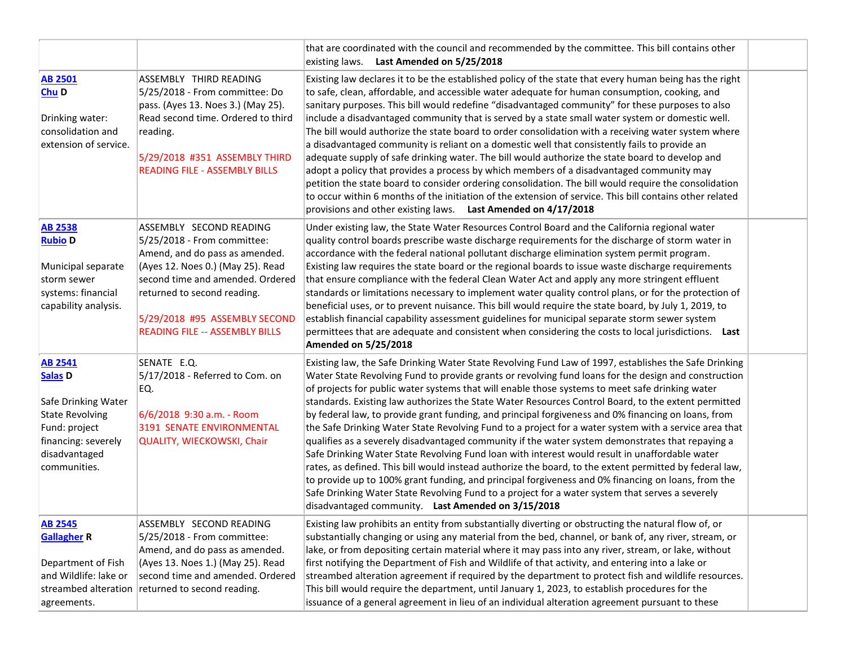|                                                                                                                                                         |                                                                                                                                                                                                                                                                            | that are coordinated with the council and recommended by the committee. This bill contains other<br>existing laws. Last Amended on 5/25/2018                                                                                                                                                                                                                                                                                                                                                                                                                                                                                                                                                                                                                                                                                                                                                                                                                                                                                                                                                                                                                                                                            |  |
|---------------------------------------------------------------------------------------------------------------------------------------------------------|----------------------------------------------------------------------------------------------------------------------------------------------------------------------------------------------------------------------------------------------------------------------------|-------------------------------------------------------------------------------------------------------------------------------------------------------------------------------------------------------------------------------------------------------------------------------------------------------------------------------------------------------------------------------------------------------------------------------------------------------------------------------------------------------------------------------------------------------------------------------------------------------------------------------------------------------------------------------------------------------------------------------------------------------------------------------------------------------------------------------------------------------------------------------------------------------------------------------------------------------------------------------------------------------------------------------------------------------------------------------------------------------------------------------------------------------------------------------------------------------------------------|--|
| <b>AB 2501</b><br>Chu D<br>Drinking water:<br>consolidation and<br>extension of service.                                                                | ASSEMBLY THIRD READING<br>5/25/2018 - From committee: Do<br>pass. (Ayes 13. Noes 3.) (May 25).<br>Read second time. Ordered to third<br>reading.<br>5/29/2018 #351 ASSEMBLY THIRD<br><b>READING FILE - ASSEMBLY BILLS</b>                                                  | Existing law declares it to be the established policy of the state that every human being has the right<br>to safe, clean, affordable, and accessible water adequate for human consumption, cooking, and<br>sanitary purposes. This bill would redefine "disadvantaged community" for these purposes to also<br>include a disadvantaged community that is served by a state small water system or domestic well.<br>The bill would authorize the state board to order consolidation with a receiving water system where<br>a disadvantaged community is reliant on a domestic well that consistently fails to provide an<br>adequate supply of safe drinking water. The bill would authorize the state board to develop and<br>adopt a policy that provides a process by which members of a disadvantaged community may<br>petition the state board to consider ordering consolidation. The bill would require the consolidation<br>to occur within 6 months of the initiation of the extension of service. This bill contains other related<br>provisions and other existing laws. Last Amended on 4/17/2018                                                                                                           |  |
| <b>AB 2538</b><br><b>Rubio D</b><br>Municipal separate<br>storm sewer<br>systems: financial<br>capability analysis.                                     | ASSEMBLY SECOND READING<br>5/25/2018 - From committee:<br>Amend, and do pass as amended.<br>(Ayes 12. Noes 0.) (May 25). Read<br>second time and amended. Ordered<br>returned to second reading.<br>5/29/2018 #95 ASSEMBLY SECOND<br><b>READING FILE -- ASSEMBLY BILLS</b> | Under existing law, the State Water Resources Control Board and the California regional water<br>quality control boards prescribe waste discharge requirements for the discharge of storm water in<br>accordance with the federal national pollutant discharge elimination system permit program.<br>Existing law requires the state board or the regional boards to issue waste discharge requirements<br>that ensure compliance with the federal Clean Water Act and apply any more stringent effluent<br>standards or limitations necessary to implement water quality control plans, or for the protection of<br>beneficial uses, or to prevent nuisance. This bill would require the state board, by July 1, 2019, to<br>establish financial capability assessment guidelines for municipal separate storm sewer system<br>permittees that are adequate and consistent when considering the costs to local jurisdictions. Last<br><b>Amended on 5/25/2018</b>                                                                                                                                                                                                                                                      |  |
| <b>AB 2541</b><br>Salas <sub>D</sub><br>Safe Drinking Water<br>State Revolving<br>Fund: project<br>financing: severely<br>disadvantaged<br>communities. | SENATE E.Q.<br>5/17/2018 - Referred to Com. on<br>EQ.<br>6/6/2018 9:30 a.m. - Room<br>3191 SENATE ENVIRONMENTAL<br>QUALITY, WIECKOWSKI, Chair                                                                                                                              | Existing law, the Safe Drinking Water State Revolving Fund Law of 1997, establishes the Safe Drinking<br>Water State Revolving Fund to provide grants or revolving fund loans for the design and construction<br>of projects for public water systems that will enable those systems to meet safe drinking water<br>standards. Existing law authorizes the State Water Resources Control Board, to the extent permitted<br>by federal law, to provide grant funding, and principal forgiveness and 0% financing on loans, from<br>the Safe Drinking Water State Revolving Fund to a project for a water system with a service area that<br>qualifies as a severely disadvantaged community if the water system demonstrates that repaying a<br>Safe Drinking Water State Revolving Fund loan with interest would result in unaffordable water<br>rates, as defined. This bill would instead authorize the board, to the extent permitted by federal law,<br>to provide up to 100% grant funding, and principal forgiveness and 0% financing on loans, from the<br>Safe Drinking Water State Revolving Fund to a project for a water system that serves a severely<br>disadvantaged community. Last Amended on 3/15/2018 |  |
| <b>AB 2545</b><br><b>Gallagher R</b><br>Department of Fish<br>and Wildlife: lake or<br>streambed alteration<br>agreements.                              | ASSEMBLY SECOND READING<br>5/25/2018 - From committee:<br>Amend, and do pass as amended.<br>(Ayes 13. Noes 1.) (May 25). Read<br>second time and amended. Ordered<br>returned to second reading.                                                                           | Existing law prohibits an entity from substantially diverting or obstructing the natural flow of, or<br>substantially changing or using any material from the bed, channel, or bank of, any river, stream, or<br>lake, or from depositing certain material where it may pass into any river, stream, or lake, without<br>first notifying the Department of Fish and Wildlife of that activity, and entering into a lake or<br>streambed alteration agreement if required by the department to protect fish and wildlife resources.<br>This bill would require the department, until January 1, 2023, to establish procedures for the<br>issuance of a general agreement in lieu of an individual alteration agreement pursuant to these                                                                                                                                                                                                                                                                                                                                                                                                                                                                                 |  |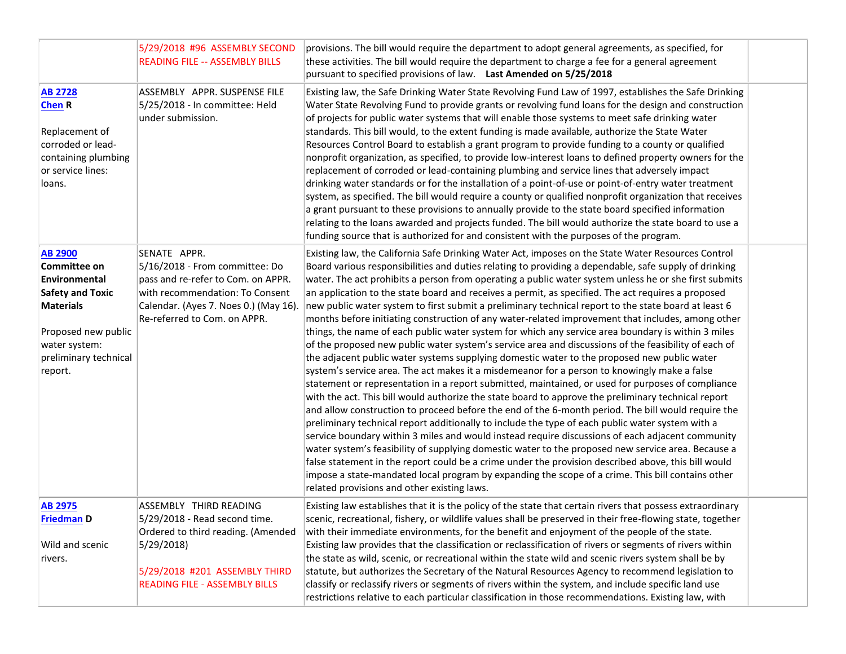|                                                                                                                                                                                   | 5/29/2018 #96 ASSEMBLY SECOND<br><b>READING FILE -- ASSEMBLY BILLS</b>                                                                                                                           | provisions. The bill would require the department to adopt general agreements, as specified, for<br>these activities. The bill would require the department to charge a fee for a general agreement<br>pursuant to specified provisions of law. Last Amended on 5/25/2018                                                                                                                                                                                                                                                                                                                                                                                                                                                                                                                                                                                                                                                                                                                                                                                                                                                                                                                                                                                                                                                                                                                                                                                                                                                                                                                                                                                                                                                                                                                                                                                                                                                                       |  |
|-----------------------------------------------------------------------------------------------------------------------------------------------------------------------------------|--------------------------------------------------------------------------------------------------------------------------------------------------------------------------------------------------|-------------------------------------------------------------------------------------------------------------------------------------------------------------------------------------------------------------------------------------------------------------------------------------------------------------------------------------------------------------------------------------------------------------------------------------------------------------------------------------------------------------------------------------------------------------------------------------------------------------------------------------------------------------------------------------------------------------------------------------------------------------------------------------------------------------------------------------------------------------------------------------------------------------------------------------------------------------------------------------------------------------------------------------------------------------------------------------------------------------------------------------------------------------------------------------------------------------------------------------------------------------------------------------------------------------------------------------------------------------------------------------------------------------------------------------------------------------------------------------------------------------------------------------------------------------------------------------------------------------------------------------------------------------------------------------------------------------------------------------------------------------------------------------------------------------------------------------------------------------------------------------------------------------------------------------------------|--|
| <b>AB 2728</b><br><b>Chen R</b><br>Replacement of<br>corroded or lead-<br>containing plumbing<br>or service lines:<br>loans.                                                      | ASSEMBLY APPR. SUSPENSE FILE<br>5/25/2018 - In committee: Held<br>under submission.                                                                                                              | Existing law, the Safe Drinking Water State Revolving Fund Law of 1997, establishes the Safe Drinking<br>Water State Revolving Fund to provide grants or revolving fund loans for the design and construction<br>of projects for public water systems that will enable those systems to meet safe drinking water<br>standards. This bill would, to the extent funding is made available, authorize the State Water<br>Resources Control Board to establish a grant program to provide funding to a county or qualified<br>nonprofit organization, as specified, to provide low-interest loans to defined property owners for the<br>replacement of corroded or lead-containing plumbing and service lines that adversely impact<br>drinking water standards or for the installation of a point-of-use or point-of-entry water treatment<br>system, as specified. The bill would require a county or qualified nonprofit organization that receives<br>a grant pursuant to these provisions to annually provide to the state board specified information<br>relating to the loans awarded and projects funded. The bill would authorize the state board to use a<br>funding source that is authorized for and consistent with the purposes of the program.                                                                                                                                                                                                                                                                                                                                                                                                                                                                                                                                                                                                                                                                                       |  |
| <b>AB 2900</b><br><b>Committee on</b><br>Environmental<br><b>Safety and Toxic</b><br><b>Materials</b><br>Proposed new public<br>water system:<br>preliminary technical<br>report. | SENATE APPR.<br>5/16/2018 - From committee: Do<br>pass and re-refer to Com. on APPR.<br>with recommendation: To Consent<br>Calendar. (Ayes 7. Noes 0.) (May 16).<br>Re-referred to Com. on APPR. | Existing law, the California Safe Drinking Water Act, imposes on the State Water Resources Control<br>Board various responsibilities and duties relating to providing a dependable, safe supply of drinking<br>water. The act prohibits a person from operating a public water system unless he or she first submits<br>an application to the state board and receives a permit, as specified. The act requires a proposed<br>new public water system to first submit a preliminary technical report to the state board at least 6<br>months before initiating construction of any water-related improvement that includes, among other<br>things, the name of each public water system for which any service area boundary is within 3 miles<br>of the proposed new public water system's service area and discussions of the feasibility of each of<br>the adjacent public water systems supplying domestic water to the proposed new public water<br>system's service area. The act makes it a misdemeanor for a person to knowingly make a false<br>statement or representation in a report submitted, maintained, or used for purposes of compliance<br>with the act. This bill would authorize the state board to approve the preliminary technical report<br>and allow construction to proceed before the end of the 6-month period. The bill would require the<br>preliminary technical report additionally to include the type of each public water system with a<br>service boundary within 3 miles and would instead require discussions of each adjacent community<br>water system's feasibility of supplying domestic water to the proposed new service area. Because a<br>false statement in the report could be a crime under the provision described above, this bill would<br>impose a state-mandated local program by expanding the scope of a crime. This bill contains other<br>related provisions and other existing laws. |  |
| <b>AB 2975</b><br><b>Friedman D</b><br>Wild and scenic<br>rivers.                                                                                                                 | ASSEMBLY THIRD READING<br>5/29/2018 - Read second time.<br>Ordered to third reading. (Amended<br>5/29/2018<br>5/29/2018 #201 ASSEMBLY THIRD<br><b>READING FILE - ASSEMBLY BILLS</b>              | Existing law establishes that it is the policy of the state that certain rivers that possess extraordinary<br>scenic, recreational, fishery, or wildlife values shall be preserved in their free-flowing state, together<br>with their immediate environments, for the benefit and enjoyment of the people of the state.<br>Existing law provides that the classification or reclassification of rivers or segments of rivers within<br>the state as wild, scenic, or recreational within the state wild and scenic rivers system shall be by<br>statute, but authorizes the Secretary of the Natural Resources Agency to recommend legislation to<br>classify or reclassify rivers or segments of rivers within the system, and include specific land use<br>restrictions relative to each particular classification in those recommendations. Existing law, with                                                                                                                                                                                                                                                                                                                                                                                                                                                                                                                                                                                                                                                                                                                                                                                                                                                                                                                                                                                                                                                                              |  |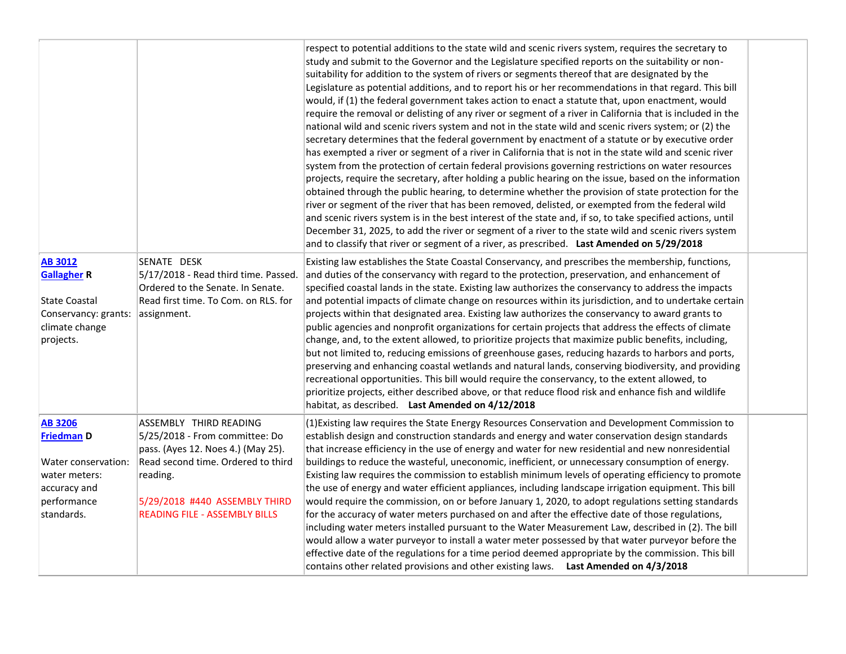|                                                                                                                          |                                                                                                                                                                                                                           | respect to potential additions to the state wild and scenic rivers system, requires the secretary to<br>study and submit to the Governor and the Legislature specified reports on the suitability or non-<br>suitability for addition to the system of rivers or segments thereof that are designated by the<br>Legislature as potential additions, and to report his or her recommendations in that regard. This bill<br>would, if (1) the federal government takes action to enact a statute that, upon enactment, would<br>require the removal or delisting of any river or segment of a river in California that is included in the<br>national wild and scenic rivers system and not in the state wild and scenic rivers system; or (2) the<br>secretary determines that the federal government by enactment of a statute or by executive order<br>has exempted a river or segment of a river in California that is not in the state wild and scenic river<br>system from the protection of certain federal provisions governing restrictions on water resources<br>projects, require the secretary, after holding a public hearing on the issue, based on the information<br>obtained through the public hearing, to determine whether the provision of state protection for the<br>river or segment of the river that has been removed, delisted, or exempted from the federal wild<br>and scenic rivers system is in the best interest of the state and, if so, to take specified actions, until<br>December 31, 2025, to add the river or segment of a river to the state wild and scenic rivers system<br>and to classify that river or segment of a river, as prescribed. Last Amended on 5/29/2018 |  |
|--------------------------------------------------------------------------------------------------------------------------|---------------------------------------------------------------------------------------------------------------------------------------------------------------------------------------------------------------------------|----------------------------------------------------------------------------------------------------------------------------------------------------------------------------------------------------------------------------------------------------------------------------------------------------------------------------------------------------------------------------------------------------------------------------------------------------------------------------------------------------------------------------------------------------------------------------------------------------------------------------------------------------------------------------------------------------------------------------------------------------------------------------------------------------------------------------------------------------------------------------------------------------------------------------------------------------------------------------------------------------------------------------------------------------------------------------------------------------------------------------------------------------------------------------------------------------------------------------------------------------------------------------------------------------------------------------------------------------------------------------------------------------------------------------------------------------------------------------------------------------------------------------------------------------------------------------------------------------------------------------------------------------------------------------------------------------------------|--|
| <b>AB 3012</b><br><b>Gallagher R</b><br><b>State Coastal</b><br>Conservancy: grants:<br>climate change<br>projects.      | SENATE DESK<br>5/17/2018 - Read third time. Passed.<br>Ordered to the Senate. In Senate.<br>Read first time. To Com. on RLS. for<br>assignment.                                                                           | Existing law establishes the State Coastal Conservancy, and prescribes the membership, functions,<br>and duties of the conservancy with regard to the protection, preservation, and enhancement of<br>specified coastal lands in the state. Existing law authorizes the conservancy to address the impacts<br>and potential impacts of climate change on resources within its jurisdiction, and to undertake certain<br>projects within that designated area. Existing law authorizes the conservancy to award grants to<br>public agencies and nonprofit organizations for certain projects that address the effects of climate<br>change, and, to the extent allowed, to prioritize projects that maximize public benefits, including,<br>but not limited to, reducing emissions of greenhouse gases, reducing hazards to harbors and ports,<br>preserving and enhancing coastal wetlands and natural lands, conserving biodiversity, and providing<br>recreational opportunities. This bill would require the conservancy, to the extent allowed, to                                                                                                                                                                                                                                                                                                                                                                                                                                                                                                                                                                                                                                                        |  |
|                                                                                                                          |                                                                                                                                                                                                                           | prioritize projects, either described above, or that reduce flood risk and enhance fish and wildlife<br>habitat, as described. Last Amended on 4/12/2018                                                                                                                                                                                                                                                                                                                                                                                                                                                                                                                                                                                                                                                                                                                                                                                                                                                                                                                                                                                                                                                                                                                                                                                                                                                                                                                                                                                                                                                                                                                                                       |  |
| <b>AB 3206</b><br><b>Friedman D</b><br>Water conservation:<br>water meters:<br>accuracy and<br>performance<br>standards. | ASSEMBLY THIRD READING<br>5/25/2018 - From committee: Do<br>pass. (Ayes 12. Noes 4.) (May 25).<br>Read second time. Ordered to third<br>reading.<br>5/29/2018 #440 ASSEMBLY THIRD<br><b>READING FILE - ASSEMBLY BILLS</b> | (1) Existing law requires the State Energy Resources Conservation and Development Commission to<br>establish design and construction standards and energy and water conservation design standards<br>that increase efficiency in the use of energy and water for new residential and new nonresidential<br>buildings to reduce the wasteful, uneconomic, inefficient, or unnecessary consumption of energy.<br>Existing law requires the commission to establish minimum levels of operating efficiency to promote<br>the use of energy and water efficient appliances, including landscape irrigation equipment. This bill<br>would require the commission, on or before January 1, 2020, to adopt regulations setting standards<br>for the accuracy of water meters purchased on and after the effective date of those regulations,<br>including water meters installed pursuant to the Water Measurement Law, described in (2). The bill<br>would allow a water purveyor to install a water meter possessed by that water purveyor before the<br>effective date of the regulations for a time period deemed appropriate by the commission. This bill<br>contains other related provisions and other existing laws. Last Amended on 4/3/2018                                                                                                                                                                                                                                                                                                                                                                                                                                                                 |  |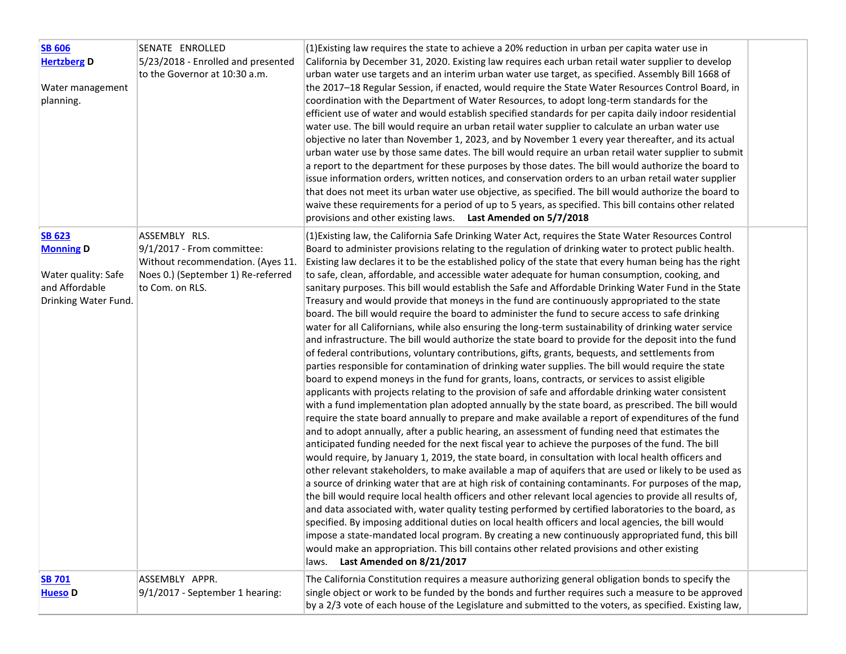| <b>SB 606</b><br><b>Hertzberg D</b><br>Water management<br>planning.                               | SENATE ENROLLED<br>5/23/2018 - Enrolled and presented<br>to the Governor at 10:30 a.m.                                                      | (1) Existing law requires the state to achieve a 20% reduction in urban per capita water use in<br>California by December 31, 2020. Existing law requires each urban retail water supplier to develop<br>urban water use targets and an interim urban water use target, as specified. Assembly Bill 1668 of<br>the 2017-18 Regular Session, if enacted, would require the State Water Resources Control Board, in<br>coordination with the Department of Water Resources, to adopt long-term standards for the<br>efficient use of water and would establish specified standards for per capita daily indoor residential<br>water use. The bill would require an urban retail water supplier to calculate an urban water use<br>objective no later than November 1, 2023, and by November 1 every year thereafter, and its actual<br>urban water use by those same dates. The bill would require an urban retail water supplier to submit<br>a report to the department for these purposes by those dates. The bill would authorize the board to<br>issue information orders, written notices, and conservation orders to an urban retail water supplier<br>that does not meet its urban water use objective, as specified. The bill would authorize the board to<br>waive these requirements for a period of up to 5 years, as specified. This bill contains other related<br>provisions and other existing laws. Last Amended on $5/7/2018$                                                                                                                                                                                                                                                                                                                                                                                                                                                                                                                                                                                                                                                                                                                                                                                                                                                                                                                                                                                                                                                                                                                                                                                                                                                        |  |
|----------------------------------------------------------------------------------------------------|---------------------------------------------------------------------------------------------------------------------------------------------|------------------------------------------------------------------------------------------------------------------------------------------------------------------------------------------------------------------------------------------------------------------------------------------------------------------------------------------------------------------------------------------------------------------------------------------------------------------------------------------------------------------------------------------------------------------------------------------------------------------------------------------------------------------------------------------------------------------------------------------------------------------------------------------------------------------------------------------------------------------------------------------------------------------------------------------------------------------------------------------------------------------------------------------------------------------------------------------------------------------------------------------------------------------------------------------------------------------------------------------------------------------------------------------------------------------------------------------------------------------------------------------------------------------------------------------------------------------------------------------------------------------------------------------------------------------------------------------------------------------------------------------------------------------------------------------------------------------------------------------------------------------------------------------------------------------------------------------------------------------------------------------------------------------------------------------------------------------------------------------------------------------------------------------------------------------------------------------------------------------------------------------------------------------------------------------------------------------------------------------------------------------------------------------------------------------------------------------------------------------------------------------------------------------------------------------------------------------------------------------------------------------------------------------------------------------------------------------------------------------------------------------------------------------------------------------------------|--|
| <b>SB 623</b><br><b>Monning D</b><br>Water quality: Safe<br>and Affordable<br>Drinking Water Fund. | ASSEMBLY RLS.<br>$9/1/2017$ - From committee:<br>Without recommendation. (Ayes 11.<br>Noes 0.) (September 1) Re-referred<br>to Com. on RLS. | (1) Existing law, the California Safe Drinking Water Act, requires the State Water Resources Control<br>Board to administer provisions relating to the regulation of drinking water to protect public health.<br>Existing law declares it to be the established policy of the state that every human being has the right<br>to safe, clean, affordable, and accessible water adequate for human consumption, cooking, and<br>sanitary purposes. This bill would establish the Safe and Affordable Drinking Water Fund in the State<br>Treasury and would provide that moneys in the fund are continuously appropriated to the state<br>board. The bill would require the board to administer the fund to secure access to safe drinking<br>water for all Californians, while also ensuring the long-term sustainability of drinking water service<br>and infrastructure. The bill would authorize the state board to provide for the deposit into the fund<br>of federal contributions, voluntary contributions, gifts, grants, bequests, and settlements from<br>parties responsible for contamination of drinking water supplies. The bill would require the state<br>board to expend moneys in the fund for grants, loans, contracts, or services to assist eligible<br>applicants with projects relating to the provision of safe and affordable drinking water consistent<br>with a fund implementation plan adopted annually by the state board, as prescribed. The bill would<br>require the state board annually to prepare and make available a report of expenditures of the fund<br>and to adopt annually, after a public hearing, an assessment of funding need that estimates the<br>anticipated funding needed for the next fiscal year to achieve the purposes of the fund. The bill<br>would require, by January 1, 2019, the state board, in consultation with local health officers and<br>other relevant stakeholders, to make available a map of aquifers that are used or likely to be used as<br>a source of drinking water that are at high risk of containing contaminants. For purposes of the map,<br>the bill would require local health officers and other relevant local agencies to provide all results of,<br>and data associated with, water quality testing performed by certified laboratories to the board, as<br>specified. By imposing additional duties on local health officers and local agencies, the bill would<br>impose a state-mandated local program. By creating a new continuously appropriated fund, this bill<br>would make an appropriation. This bill contains other related provisions and other existing<br>Last Amended on 8/21/2017<br>laws. |  |
| <b>SB 701</b><br>Hueso <sub>D</sub>                                                                | ASSEMBLY APPR.<br>$9/1/2017$ - September 1 hearing:                                                                                         | The California Constitution requires a measure authorizing general obligation bonds to specify the<br>single object or work to be funded by the bonds and further requires such a measure to be approved<br>by a 2/3 vote of each house of the Legislature and submitted to the voters, as specified. Existing law,                                                                                                                                                                                                                                                                                                                                                                                                                                                                                                                                                                                                                                                                                                                                                                                                                                                                                                                                                                                                                                                                                                                                                                                                                                                                                                                                                                                                                                                                                                                                                                                                                                                                                                                                                                                                                                                                                                                                                                                                                                                                                                                                                                                                                                                                                                                                                                                  |  |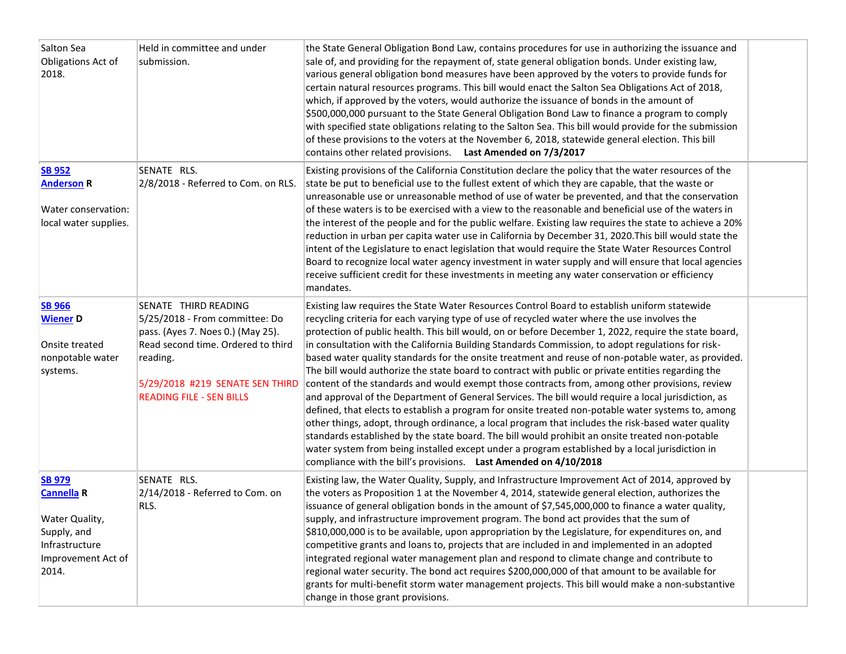| Salton Sea<br>Obligations Act of<br>2018.                                                                            | Held in committee and under<br>submission.                                                                                                                                                                          | the State General Obligation Bond Law, contains procedures for use in authorizing the issuance and<br>sale of, and providing for the repayment of, state general obligation bonds. Under existing law,<br>various general obligation bond measures have been approved by the voters to provide funds for<br>certain natural resources programs. This bill would enact the Salton Sea Obligations Act of 2018,<br>which, if approved by the voters, would authorize the issuance of bonds in the amount of<br>\$500,000,000 pursuant to the State General Obligation Bond Law to finance a program to comply<br>with specified state obligations relating to the Salton Sea. This bill would provide for the submission<br>of these provisions to the voters at the November 6, 2018, statewide general election. This bill<br>contains other related provisions. Last Amended on 7/3/2017                                                                                                                                                                                                                                                                                                                                                                                                                              |  |
|----------------------------------------------------------------------------------------------------------------------|---------------------------------------------------------------------------------------------------------------------------------------------------------------------------------------------------------------------|------------------------------------------------------------------------------------------------------------------------------------------------------------------------------------------------------------------------------------------------------------------------------------------------------------------------------------------------------------------------------------------------------------------------------------------------------------------------------------------------------------------------------------------------------------------------------------------------------------------------------------------------------------------------------------------------------------------------------------------------------------------------------------------------------------------------------------------------------------------------------------------------------------------------------------------------------------------------------------------------------------------------------------------------------------------------------------------------------------------------------------------------------------------------------------------------------------------------------------------------------------------------------------------------------------------------|--|
| <b>SB 952</b><br><b>Anderson R</b><br>Water conservation:<br>local water supplies.                                   | SENATE RLS.<br>2/8/2018 - Referred to Com. on RLS.                                                                                                                                                                  | Existing provisions of the California Constitution declare the policy that the water resources of the<br>state be put to beneficial use to the fullest extent of which they are capable, that the waste or<br>unreasonable use or unreasonable method of use of water be prevented, and that the conservation<br>of these waters is to be exercised with a view to the reasonable and beneficial use of the waters in<br>the interest of the people and for the public welfare. Existing law requires the state to achieve a 20%<br>reduction in urban per capita water use in California by December 31, 2020. This bill would state the<br>intent of the Legislature to enact legislation that would require the State Water Resources Control<br>Board to recognize local water agency investment in water supply and will ensure that local agencies<br>receive sufficient credit for these investments in meeting any water conservation or efficiency<br>mandates.                                                                                                                                                                                                                                                                                                                                               |  |
| <b>SB 966</b><br><b>Wiener D</b><br>Onsite treated<br>nonpotable water<br>systems.                                   | SENATE THIRD READING<br>5/25/2018 - From committee: Do<br>pass. (Ayes 7. Noes 0.) (May 25).<br>Read second time. Ordered to third<br>reading.<br>5/29/2018 #219 SENATE SEN THIRD<br><b>READING FILE - SEN BILLS</b> | Existing law requires the State Water Resources Control Board to establish uniform statewide<br>recycling criteria for each varying type of use of recycled water where the use involves the<br>protection of public health. This bill would, on or before December 1, 2022, require the state board,<br>in consultation with the California Building Standards Commission, to adopt regulations for risk-<br>based water quality standards for the onsite treatment and reuse of non-potable water, as provided.<br>The bill would authorize the state board to contract with public or private entities regarding the<br>content of the standards and would exempt those contracts from, among other provisions, review<br>and approval of the Department of General Services. The bill would require a local jurisdiction, as<br>defined, that elects to establish a program for onsite treated non-potable water systems to, among<br>other things, adopt, through ordinance, a local program that includes the risk-based water quality<br>standards established by the state board. The bill would prohibit an onsite treated non-potable<br>water system from being installed except under a program established by a local jurisdiction in<br>compliance with the bill's provisions. Last Amended on 4/10/2018 |  |
| <b>SB 979</b><br><b>Cannella R</b><br>Water Quality,<br>Supply, and<br>Infrastructure<br>Improvement Act of<br>2014. | SENATE RLS.<br>$ 2/14/2018$ - Referred to Com. on<br>RLS.                                                                                                                                                           | Existing law, the Water Quality, Supply, and Infrastructure Improvement Act of 2014, approved by<br>the voters as Proposition 1 at the November 4, 2014, statewide general election, authorizes the<br>issuance of general obligation bonds in the amount of \$7,545,000,000 to finance a water quality,<br>supply, and infrastructure improvement program. The bond act provides that the sum of<br>\$810,000,000 is to be available, upon appropriation by the Legislature, for expenditures on, and<br>competitive grants and loans to, projects that are included in and implemented in an adopted<br>integrated regional water management plan and respond to climate change and contribute to<br>regional water security. The bond act requires \$200,000,000 of that amount to be available for<br>grants for multi-benefit storm water management projects. This bill would make a non-substantive<br>change in those grant provisions.                                                                                                                                                                                                                                                                                                                                                                        |  |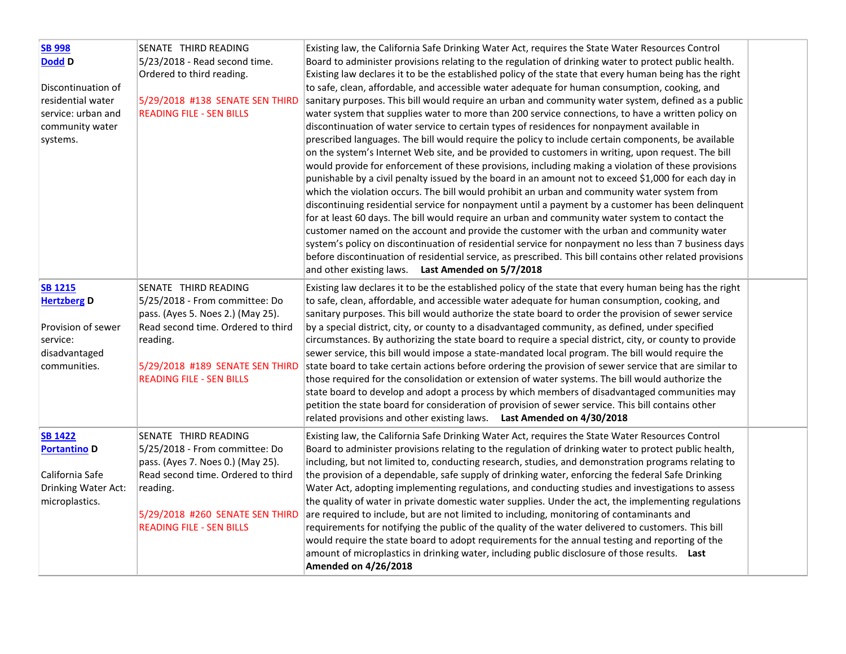| <b>SB 998</b><br><b>Dodd D</b><br>Discontinuation of<br>residential water<br>service: urban and<br>community water<br>systems. | SENATE THIRD READING<br>5/23/2018 - Read second time.<br>Ordered to third reading.<br>5/29/2018 #138 SENATE SEN THIRD<br><b>READING FILE - SEN BILLS</b>                                                            | Existing law, the California Safe Drinking Water Act, requires the State Water Resources Control<br>Board to administer provisions relating to the regulation of drinking water to protect public health.<br>Existing law declares it to be the established policy of the state that every human being has the right<br>to safe, clean, affordable, and accessible water adequate for human consumption, cooking, and<br>sanitary purposes. This bill would require an urban and community water system, defined as a public<br>water system that supplies water to more than 200 service connections, to have a written policy on<br>discontinuation of water service to certain types of residences for nonpayment available in<br>prescribed languages. The bill would require the policy to include certain components, be available<br>on the system's Internet Web site, and be provided to customers in writing, upon request. The bill<br>would provide for enforcement of these provisions, including making a violation of these provisions<br>punishable by a civil penalty issued by the board in an amount not to exceed \$1,000 for each day in<br>which the violation occurs. The bill would prohibit an urban and community water system from<br>discontinuing residential service for nonpayment until a payment by a customer has been delinquent<br>for at least 60 days. The bill would require an urban and community water system to contact the<br>customer named on the account and provide the customer with the urban and community water<br>system's policy on discontinuation of residential service for nonpayment no less than 7 business days<br>before discontinuation of residential service, as prescribed. This bill contains other related provisions<br>and other existing laws. Last Amended on 5/7/2018 |  |
|--------------------------------------------------------------------------------------------------------------------------------|---------------------------------------------------------------------------------------------------------------------------------------------------------------------------------------------------------------------|------------------------------------------------------------------------------------------------------------------------------------------------------------------------------------------------------------------------------------------------------------------------------------------------------------------------------------------------------------------------------------------------------------------------------------------------------------------------------------------------------------------------------------------------------------------------------------------------------------------------------------------------------------------------------------------------------------------------------------------------------------------------------------------------------------------------------------------------------------------------------------------------------------------------------------------------------------------------------------------------------------------------------------------------------------------------------------------------------------------------------------------------------------------------------------------------------------------------------------------------------------------------------------------------------------------------------------------------------------------------------------------------------------------------------------------------------------------------------------------------------------------------------------------------------------------------------------------------------------------------------------------------------------------------------------------------------------------------------------------------------------------------------------------------------------------------------------------------|--|
| <b>SB 1215</b><br><b>Hertzberg D</b>                                                                                           | SENATE THIRD READING<br>5/25/2018 - From committee: Do<br>pass. (Ayes 5. Noes 2.) (May 25).                                                                                                                         | Existing law declares it to be the established policy of the state that every human being has the right<br>to safe, clean, affordable, and accessible water adequate for human consumption, cooking, and<br>sanitary purposes. This bill would authorize the state board to order the provision of sewer service                                                                                                                                                                                                                                                                                                                                                                                                                                                                                                                                                                                                                                                                                                                                                                                                                                                                                                                                                                                                                                                                                                                                                                                                                                                                                                                                                                                                                                                                                                                               |  |
| Provision of sewer<br>service:<br>disadvantaged<br>communities.                                                                | Read second time. Ordered to third<br>reading.<br>5/29/2018 #189 SENATE SEN THIRD<br><b>READING FILE - SEN BILLS</b>                                                                                                | by a special district, city, or county to a disadvantaged community, as defined, under specified<br>circumstances. By authorizing the state board to require a special district, city, or county to provide<br>sewer service, this bill would impose a state-mandated local program. The bill would require the<br>state board to take certain actions before ordering the provision of sewer service that are similar to<br>those required for the consolidation or extension of water systems. The bill would authorize the<br>state board to develop and adopt a process by which members of disadvantaged communities may<br>petition the state board for consideration of provision of sewer service. This bill contains other<br>related provisions and other existing laws. Last Amended on 4/30/2018                                                                                                                                                                                                                                                                                                                                                                                                                                                                                                                                                                                                                                                                                                                                                                                                                                                                                                                                                                                                                                   |  |
| <b>SB 1422</b><br><b>Portantino D</b><br>California Safe<br>Drinking Water Act:<br>microplastics.                              | SENATE THIRD READING<br>5/25/2018 - From committee: Do<br>pass. (Ayes 7. Noes 0.) (May 25).<br>Read second time. Ordered to third<br>reading.<br>5/29/2018 #260 SENATE SEN THIRD<br><b>READING FILE - SEN BILLS</b> | Existing law, the California Safe Drinking Water Act, requires the State Water Resources Control<br>Board to administer provisions relating to the regulation of drinking water to protect public health,<br>including, but not limited to, conducting research, studies, and demonstration programs relating to<br>the provision of a dependable, safe supply of drinking water, enforcing the federal Safe Drinking<br>Water Act, adopting implementing regulations, and conducting studies and investigations to assess<br>the quality of water in private domestic water supplies. Under the act, the implementing regulations<br>are required to include, but are not limited to including, monitoring of contaminants and<br>requirements for notifying the public of the quality of the water delivered to customers. This bill<br>would require the state board to adopt requirements for the annual testing and reporting of the<br>amount of microplastics in drinking water, including public disclosure of those results. Last<br>Amended on 4/26/2018                                                                                                                                                                                                                                                                                                                                                                                                                                                                                                                                                                                                                                                                                                                                                                             |  |